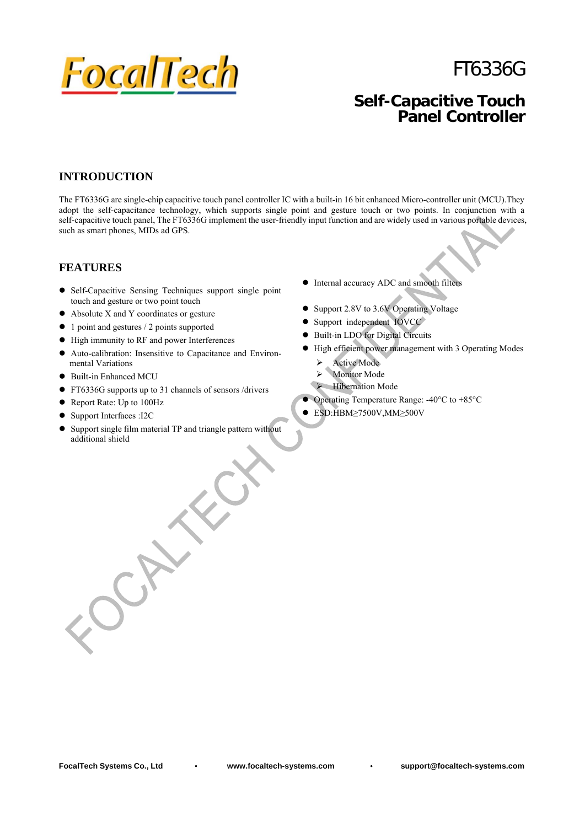

# FT6336G

## **Self-Capacitive Touch Panel Controller**

## **INTRODUCTION**

The FT6336G are single-chip capacitive touch panel controller IC with a built-in 16 bit enhanced Micro-controller unit (MCU).They adopt the self-capacitance technology, which supports single point and gesture touch or two points. In conjunction with a self-capacitive touch panel, The FT6336G implement the user-friendly input function and are widely used in various portable devices, such as smart phones, MIDs ad GPS.

## **FEATURES**

- Self-Capacitive Sensing Techniques support single point touch and gesture or two point touch
- Absolute X and Y coordinates or gesture
- 1 point and gestures / 2 points supported
- High immunity to RF and power Interferences
- Auto-calibration: Insensitive to Capacitance and Environmental Variations
- Built-in Enhanced MCU
- FT6336G supports up to 31 channels of sensors /drivers
- Report Rate: Up to 100Hz
- Support Interfaces :I2C
- Support single film material TP and triangle pattern without additional shield
- Internal accuracy ADC and smooth filters
- Support 2.8V to 3.6V Operating Voltage
- Support independent IOVCC
- Built-in LDO for Digital Circuits
- High efficient power management with 3 Operating Modes
	- Active Mode
	- Monitor Mode
	- **Hibernation Mode**
- Operating Temperature Range: -40°C to +85°C
- ESD:HBM≥7500V,MM≥500V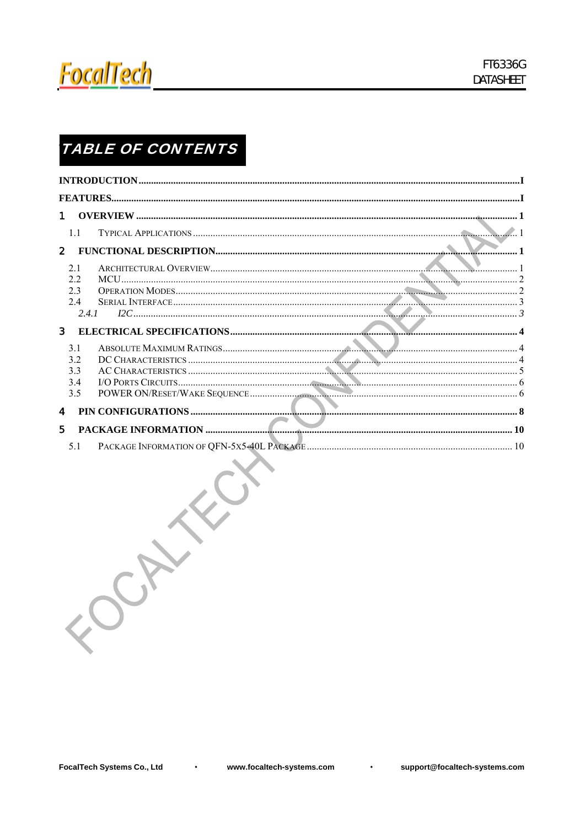

## **TABLE OF CONTENTS**

CONTROL

 $\bullet$ 

| 1            |       |  |
|--------------|-------|--|
|              | 11    |  |
| $\mathbf{2}$ |       |  |
|              | 2.1   |  |
|              | 2.2   |  |
|              | 23    |  |
|              | 24    |  |
|              | 2.4.1 |  |
| 3            |       |  |
|              | 3.1   |  |
|              | 32    |  |
|              | 33    |  |
|              | 3.4   |  |
|              | 3.5   |  |
| 4            |       |  |
| 5.           |       |  |
|              | 5.1   |  |

 $\bullet$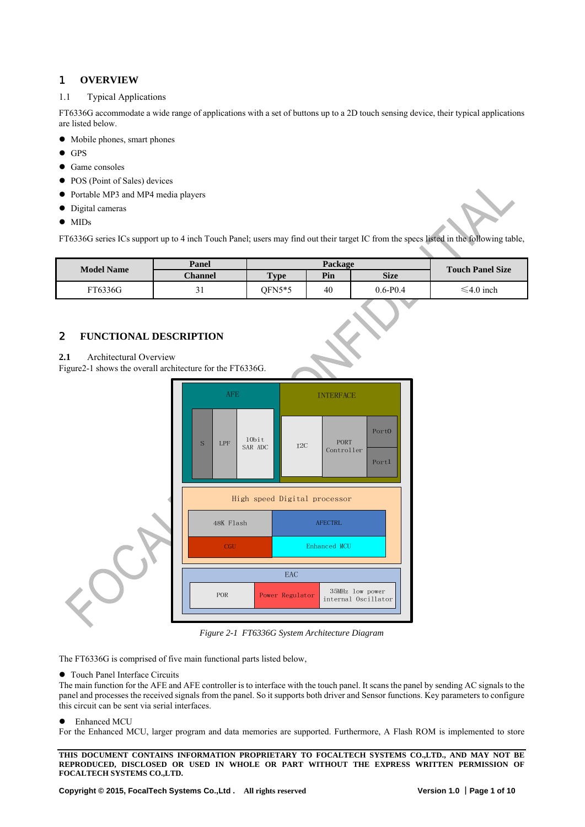## 1 **OVERVIEW**

#### 1.1 Typical Applications

FT6336G accommodate a wide range of applications with a set of buttons up to a 2D touch sensing device, their typical applications are listed below.

- $\bullet$  Mobile phones, smart phones
- $\bullet$  GPS
- **•** Game consoles
- POS (Point of Sales) devices
- Portable MP3 and MP4 media players
- Digital cameras
- MIDs

FT6336G series ICs support up to 4 inch Touch Panel; users may find out their target IC from the specs listed in the following table,

| <b>Model Name</b> | Panel    |                                   | Package |                         |                 |
|-------------------|----------|-----------------------------------|---------|-------------------------|-----------------|
|                   | Channel  | <b>Size</b><br>Pin<br><b>Type</b> |         | <b>Touch Panel Size</b> |                 |
| FT6336G           | <u>.</u> | OFN5*5                            | 40      | $0.6 - P0.4$            | $\leq 4.0$ inch |

## 2 **FUNCTIONAL DESCRIPTION**

**2.1** Architectural Overview

Figure2-1 shows the overall architecture for the FT6336G.



*Figure 2-1 FT6336G System Architecture Diagram* 

The FT6336G is comprised of five main functional parts listed below,

#### Touch Panel Interface Circuits

The main function for the AFE and AFE controller is to interface with the touch panel. It scans the panel by sending AC signals to the panel and processes the received signals from the panel. So it supports both driver and Sensor functions. Key parameters to configure this circuit can be sent via serial interfaces.

#### ● Enhanced MCU

For the Enhanced MCU, larger program and data memories are supported. Furthermore, A Flash ROM is implemented to store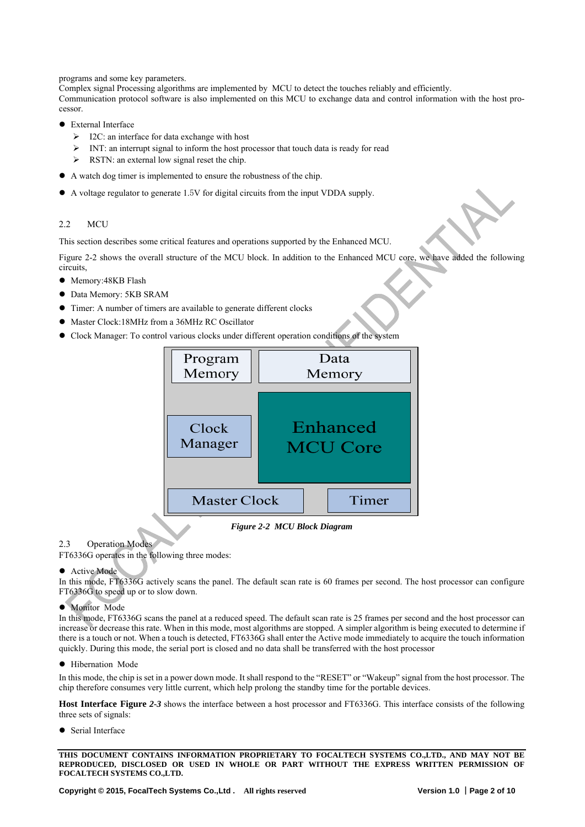programs and some key parameters.

Complex signal Processing algorithms are implemented by MCU to detect the touches reliably and efficiently. Communication protocol software is also implemented on this MCU to exchange data and control information with the host processor.

- **•** External Interface
	- $\triangleright$  I2C: an interface for data exchange with host
	- $\triangleright$  INT: an interrupt signal to inform the host processor that touch data is ready for read
	- $\triangleright$  RSTN: an external low signal reset the chip.
- A watch dog timer is implemented to ensure the robustness of the chip.
- A voltage regulator to generate 1.5V for digital circuits from the input VDDA supply.
- 2.2 MCU

This section describes some critical features and operations supported by the Enhanced MCU.

Figure 2-2 shows the overall structure of the MCU block. In addition to the Enhanced MCU core, we have added the following circuits,

- $\bullet$  Memory: 48KB Flash
- Data Memory: 5KB SRAM
- Timer: A number of timers are available to generate different clocks
- Master Clock:18MHz from a 36MHz RC Oscillator
- Clock Manager: To control various clocks under different operation conditions of the system



*Figure 2-2 MCU Block Diagram* 

#### 2.3 Operation Modes

FT6336G operates in the following three modes:

#### ● Active Mode

In this mode, FT6336G actively scans the panel. The default scan rate is 60 frames per second. The host processor can configure FT6336G to speed up or to slow down.

#### **• Monitor Mode**

In this mode, FT6336G scans the panel at a reduced speed. The default scan rate is 25 frames per second and the host processor can increase or decrease this rate. When in this mode, most algorithms are stopped. A simpler algorithm is being executed to determine if there is a touch or not. When a touch is detected, FT6336G shall enter the Active mode immediately to acquire the touch information quickly. During this mode, the serial port is closed and no data shall be transferred with the host processor

**•** Hibernation Mode

In this mode, the chip is set in a power down mode. It shall respond to the "RESET" or "Wakeup" signal from the host processor. The chip therefore consumes very little current, which help prolong the standby time for the portable devices.

**Host Interface Figure** *2-3* shows the interface between a host processor and FT6336G. This interface consists of the following three sets of signals:

Serial Interface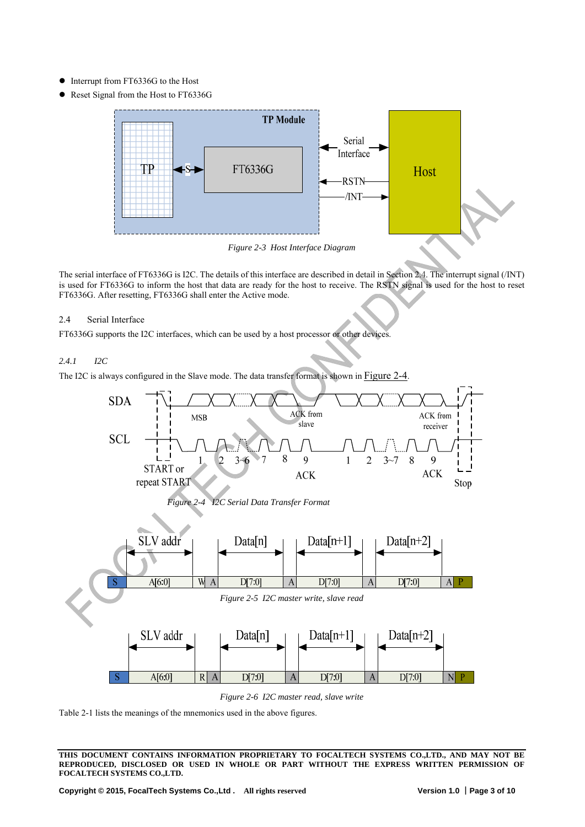- Interrupt from FT6336G to the Host
- Reset Signal from the Host to FT6336G



The serial interface of FT6336G is I2C. The details of this interface are described in detail in Section 2.4. The interrupt signal (/INT) is used for FT6336G to inform the host that data are ready for the host to receive. The RSTN signal is used for the host to reset FT6336G. After resetting, FT6336G shall enter the Active mode.

#### 2.4 Serial Interface

FT6336G supports the I2C interfaces, which can be used by a host processor or other devices.

### *2.4.1 I2C*

The I2C is always configured in the Slave mode. The data transfer format is shown in Figure 2-4.



*Figure 2-6 I2C master read, slave write* 

Table 2-1 lists the meanings of the mnemonics used in the above figures.

**THIS DOCUMENT CONTAINS INFORMATION PROPRIETARY TO FOCALTECH SYSTEMS CO.,LTD., AND MAY NOT BE REPRODUCED, DISCLOSED OR USED IN WHOLE OR PART WITHOUT THE EXPRESS WRITTEN PERMISSION OF FOCALTECH SYSTEMS CO.,LTD.**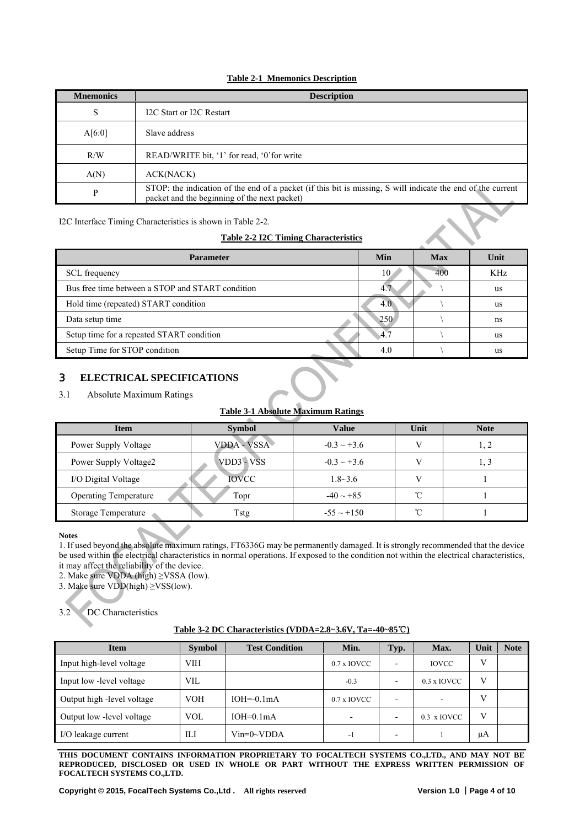#### **Table 2-1 Mnemonics Description**

| <b>Mnemonics</b> | <b>Description</b>                                                                                                                                          |
|------------------|-------------------------------------------------------------------------------------------------------------------------------------------------------------|
| S                | I2C Start or I2C Restart                                                                                                                                    |
| A[6:0]           | Slave address                                                                                                                                               |
| R/W              | READ/WRITE bit, '1' for read, '0' for write                                                                                                                 |
| A(N)             | ACK(NACK)                                                                                                                                                   |
| P                | STOP: the indication of the end of a packet (if this bit is missing, S will indicate the end of the current<br>packet and the beginning of the next packet) |

I2C Interface Timing Characteristics is shown in Table 2-2.

#### **Table 2-2 I2C Timing Characteristics**

| <b>Parameter</b>                                 | Min | <b>Max</b> | Unit       |
|--------------------------------------------------|-----|------------|------------|
| SCL frequency                                    | 10. | 400        | <b>KHz</b> |
| Bus free time between a STOP and START condition | 4.5 |            | us         |
| Hold time (repeated) START condition             | 4.0 |            | us         |
| Data setup time                                  | 250 |            | ns         |
| Setup time for a repeated START condition        | 4.7 |            | us         |
| Setup Time for STOP condition                    | 4.0 |            | us         |

## 3 **ELECTRICAL SPECIFICATIONS**

3.1 Absolute Maximum Ratings

#### **Table 3-1 Absolute Maximum Ratings**

| <b>Item</b>                  | <b>Symbol</b>      | <b>Value</b>     | Unit         | <b>Note</b> |
|------------------------------|--------------------|------------------|--------------|-------------|
| Power Supply Voltage         | <b>VDDA - VSSA</b> | $-0.3 \sim +3.6$ |              | 1, 2        |
| Power Supply Voltage2        | VDD3 - VSS         | $-0.3 \sim +3.6$ | $\mathbf{v}$ | 1, 3        |
| I/O Digital Voltage          | <b>IOVCC</b>       | $1.8 - 3.6$      |              |             |
| <b>Operating Temperature</b> | Topr               | $-40 \sim +85$   | $^{\circ}$   |             |
| Storage Temperature          | Tstg               | $-55 \sim +150$  | $^{\circ}$   |             |

**Notes**

1. If used beyond the absolute maximum ratings, FT6336G may be permanently damaged. It is strongly recommended that the device be used within the electrical characteristics in normal operations. If exposed to the condition not within the electrical characteristics, it may affect the reliability of the device.

2. Make sure VDDA (high) ≥VSSA (low).

3. Make sure VDD(high) ≥VSS(low).

3.2 DC Characteristics

#### **Table 3-2 DC Characteristics (VDDA=2.8~3.6V, Ta=-40~85**℃**)**

| <b>Item</b>                 | <b>Symbol</b> | <b>Test Condition</b> | Min.                     | Typ. | Max.                      | Unit | <b>Note</b> |
|-----------------------------|---------------|-----------------------|--------------------------|------|---------------------------|------|-------------|
| Input high-level voltage    | VIH           |                       | $0.7 \times$ IOVCC       |      | <b>IOVCC</b>              | V    |             |
| Input low - level voltage   | <b>VIL</b>    |                       | $-0.3$                   |      | $0.3 \times$ IOVCC        | V    |             |
| Output high - level voltage | <b>VOH</b>    | $IOH=.0.1mA$          | $0.7 \times$ IOVCC       |      |                           | V    |             |
| Output low -level voltage   | VOL           | $IOH=0.1mA$           | $\overline{\phantom{0}}$ |      | $0.3 \times \text{IOVCC}$ | V    |             |
| I/O leakage current         | ΠЛ            | $Vin=0~VDDA$          | - 1                      |      |                           | μA   |             |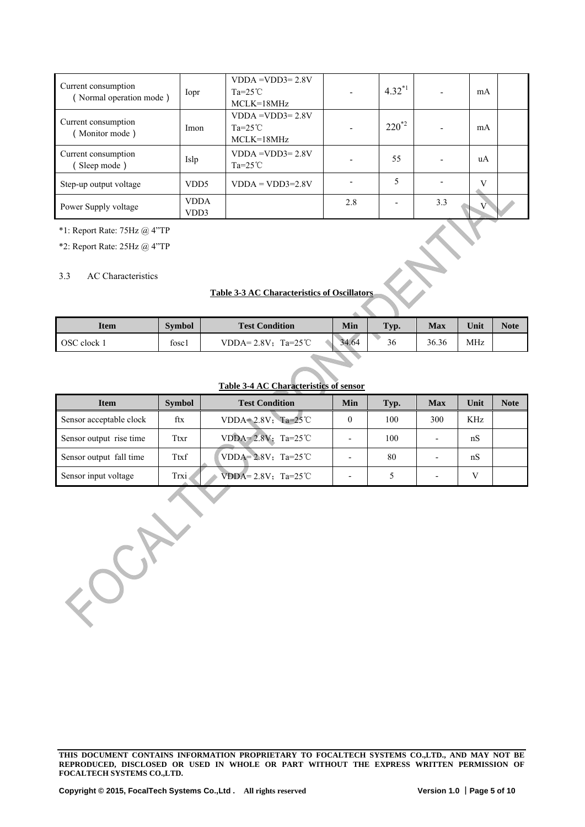| Current consumption<br>(Normal operation mode) | Iopr                | $VDDA = VDD3 = 2.8V$<br>$Ta=25^{\circ}C$<br>$MCLK = 18MHz$ |     | $4.32^{*1}$ |     | mA           |  |
|------------------------------------------------|---------------------|------------------------------------------------------------|-----|-------------|-----|--------------|--|
| Current consumption<br>(Monitor mode)          | Imon                | $VDDA = VDD3 = 2.8V$<br>$Ta=25^{\circ}C$<br>$MCLK = 18MHz$ |     | $220^{*2}$  |     | mA           |  |
| Current consumption<br>Sleep mode)             | Islp                | $VDDA = VDD3 = 2.8V$<br>$Ta=25^{\circ}C$                   |     | 55          |     | uA           |  |
| Step-up output voltage                         | VDD <sub>5</sub>    | $VDDA = VDD3 = 2.8V$                                       |     |             |     | $\mathbf{V}$ |  |
| Power Supply voltage                           | <b>VDDA</b><br>VDD3 |                                                            | 2.8 |             | 3.3 |              |  |

\*1: Report Rate: 75Hz @ 4"TP

\*2: Report Rate: 25Hz @ 4"TP

3.3 AC Characteristics

## **Table 3-3 AC Characteristics of Oscillators**

| <b>Item</b> | <b>Symbol</b> | <b>Test Condition</b>             | Min   | Typ. | <b>Max</b> | Unit       | <b>Note</b> |
|-------------|---------------|-----------------------------------|-------|------|------------|------------|-------------|
| OSC clock 1 | foscl         | VDDA= $2.8V$ ; Ta= $25^{\circ}$ C | 34.64 | 36   | 36.36      | <b>MHz</b> |             |

### **Table 3-4 AC Characteristics of sensor**

| <b>Item</b>             | <b>Symbol</b> | <b>Test Condition</b>             | Min | Typ. | Max                      | Unit | <b>Note</b> |
|-------------------------|---------------|-----------------------------------|-----|------|--------------------------|------|-------------|
| Sensor acceptable clock | ftx           | VDDA= $2.8V$ ; Ta= $25^{\circ}$ C |     | 100  | 300                      | KHz  |             |
| Sensor output rise time | Ttxr          | $VDDA = 2.8V$ ; Ta=25°C           |     | 100  |                          | nS   |             |
| Sensor output fall time | Ttxf          | VDDA= $2.8V$ ; Ta= $25^{\circ}$ C |     | 80   |                          | nS   |             |
| Sensor input voltage    | Trxi.         | $VDDA = 2.8V$ ; Ta=25°C           |     |      | $\overline{\phantom{0}}$ |      |             |

CRY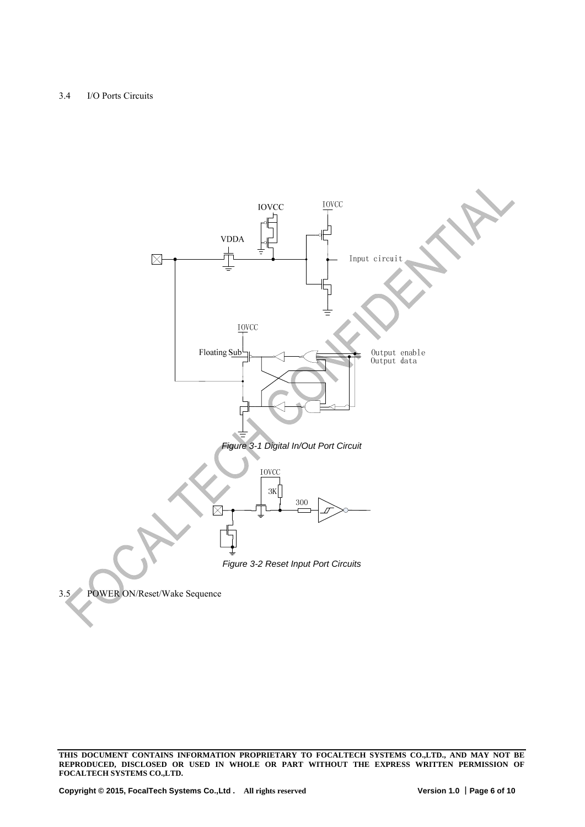#### 3.4 I/O Ports Circuits



**THIS DOCUMENT CONTAINS INFORMATION PROPRIETARY TO FOCALTECH SYSTEMS CO.,LTD., AND MAY NOT BE REPRODUCED, DISCLOSED OR USED IN WHOLE OR PART WITHOUT THE EXPRESS WRITTEN PERMISSION OF FOCALTECH SYSTEMS CO.,LTD.**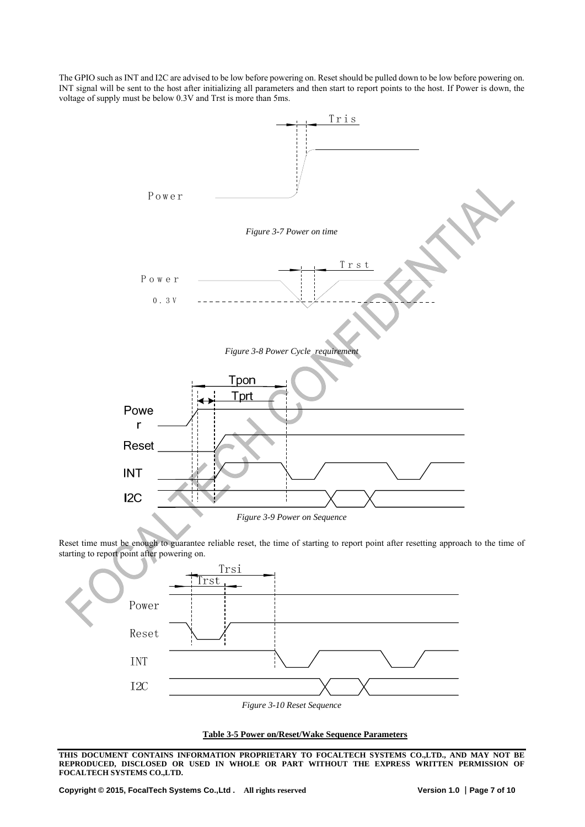The GPIO such as INT and I2C are advised to be low before powering on. Reset should be pulled down to be low before powering on. INT signal will be sent to the host after initializing all parameters and then start to report points to the host. If Power is down, the voltage of supply must be below 0.3V and Trst is more than 5ms.



Reset time must be enough to guarantee reliable reset, the time of starting to report point after resetting approach to the time of starting to report point after powering on.



#### **Table 3-5 Power on/Reset/Wake Sequence Parameters**

**THIS DOCUMENT CONTAINS INFORMATION PROPRIETARY TO FOCALTECH SYSTEMS CO.,LTD., AND MAY NOT BE REPRODUCED, DISCLOSED OR USED IN WHOLE OR PART WITHOUT THE EXPRESS WRITTEN PERMISSION OF FOCALTECH SYSTEMS CO.,LTD.**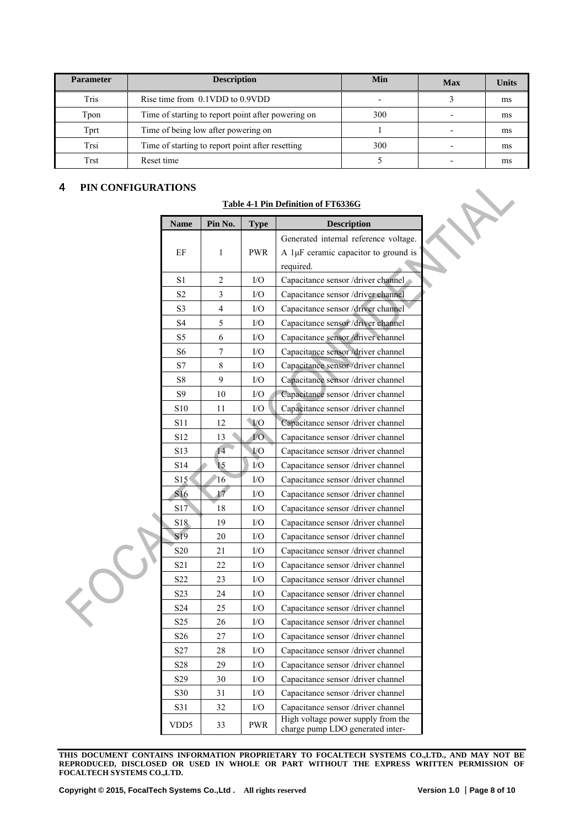| <b>Parameter</b> | <b>Description</b>                                 | Min | Max | <b>Units</b> |
|------------------|----------------------------------------------------|-----|-----|--------------|
| Tris             | Rise time from 0.1VDD to 0.9VDD                    |     |     | ms           |
| Tpon             | Time of starting to report point after powering on | 300 |     | ms           |
| Tprt             | Time of being low after powering on                |     |     | ms           |
| Trsi             | Time of starting to report point after resetting   | 300 |     | ms           |
| <b>Trst</b>      | Reset time                                         |     |     | ms           |

## 4 **PIN CONFIGURATIONS**

|                         | <b>Name</b>      | Pin No.        | <b>Type</b> | <b>Description</b>                                                     |
|-------------------------|------------------|----------------|-------------|------------------------------------------------------------------------|
|                         |                  |                |             | Generated internal reference voltage.                                  |
|                         | EF               | 1              | <b>PWR</b>  | A 1µF ceramic capacitor to ground is                                   |
|                         |                  |                |             | required.                                                              |
|                         | S <sub>1</sub>   | $\overline{2}$ | I/O         | Capacitance sensor /driver channel                                     |
|                         | S <sub>2</sub>   | 3              | I/O         | Capacitance sensor /driver channel                                     |
|                         | S <sub>3</sub>   | $\overline{4}$ | I/O         | Capacitance sensor /driver channel                                     |
|                         | S <sub>4</sub>   | 5              | ${\rm I/O}$ | Capacitance sensor/driver channel                                      |
|                         | S <sub>5</sub>   | 6              | I/O         | Capacitance sensor /driver channel                                     |
|                         | S <sub>6</sub>   | $\tau$         | I/O         | Capacitance sensor /driver channel                                     |
|                         | S7               | 8              | I/O         | Capacitance sensor /driver channel                                     |
|                         | S8               | 9              | I/O         | Capacitance sensor /driver channel                                     |
|                         | S9               | 10             | I/O         | Capacitance sensor /driver channel                                     |
|                         | S <sub>10</sub>  | 11             | I/O         | Capacitance sensor /driver channel                                     |
|                         | S <sub>11</sub>  | 12             | $\rm I/O$   | Capacitance sensor /driver channel                                     |
|                         | S <sub>12</sub>  | 13             | I/O         | Capacitance sensor /driver channel                                     |
|                         | S <sub>13</sub>  | 14             | $\rm I/O$   | Capacitance sensor /driver channel                                     |
|                         | S14              | 15             | $\rm I/O$   | Capacitance sensor /driver channel                                     |
|                         | S15              | <sup>16</sup>  | I/O         | Capacitance sensor /driver channel                                     |
|                         | S <sub>16</sub>  | 17             | ${\rm I/O}$ | Capacitance sensor /driver channel                                     |
|                         | S <sub>17</sub>  | 18             | I/O         | Capacitance sensor /driver channel                                     |
|                         | S18              | 19             | I/O         | Capacitance sensor /driver channel                                     |
|                         | S <sub>19</sub>  | 20             | I/O         | Capacitance sensor /driver channel                                     |
|                         | S <sub>20</sub>  | 21             | I/O         | Capacitance sensor /driver channel                                     |
|                         | S <sub>21</sub>  | 22             | I/O         | Capacitance sensor /driver channel                                     |
|                         | S <sub>22</sub>  | 23             | ${\rm I/O}$ | Capacitance sensor /driver channel                                     |
| $\overline{\mathbf{C}}$ | S <sub>2</sub> 3 | 24             | I/O         | Capacitance sensor /driver channel                                     |
|                         | S <sub>24</sub>  | 25             | I/O         | Capacitance sensor /driver channel                                     |
|                         | S <sub>25</sub>  | 26             | I/O         | Capacitance sensor /driver channel                                     |
|                         | S <sub>26</sub>  | 27             | I/O         | Capacitance sensor /driver channel                                     |
|                         | S <sub>27</sub>  | 28             | I/O         | Capacitance sensor /driver channel                                     |
|                         | S <sub>28</sub>  | 29             | ${\rm I/O}$ | Capacitance sensor /driver channel                                     |
|                         | S <sub>29</sub>  | 30             | I/O         | Capacitance sensor /driver channel                                     |
|                         | S30              | 31             | I/O         | Capacitance sensor /driver channel                                     |
|                         | S31              | 32             | I/O         | Capacitance sensor /driver channel                                     |
|                         | VDD5             | 33             | PWR         | High voltage power supply from the<br>charge pump LDO generated inter- |

#### **Table 4-1 Pin Definition of FT6336G**

**THIS DOCUMENT CONTAINS INFORMATION PROPRIETARY TO FOCALTECH SYSTEMS CO.,LTD., AND MAY NOT BE REPRODUCED, DISCLOSED OR USED IN WHOLE OR PART WITHOUT THE EXPRESS WRITTEN PERMISSION OF FOCALTECH SYSTEMS CO.,LTD.** 

**NY**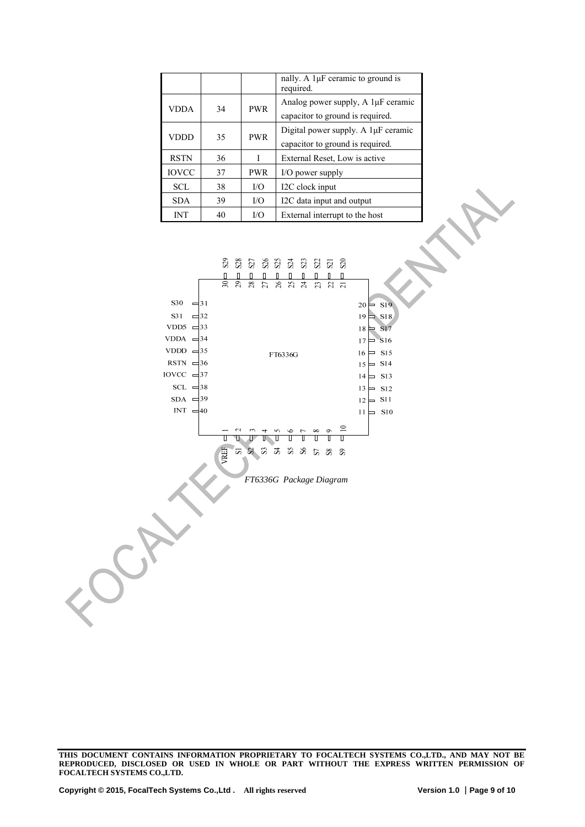



**THIS DOCUMENT CONTAINS INFORMATION PROPRIETARY TO FOCALTECH SYSTEMS CO.,LTD., AND MAY NOT BE REPRODUCED, DISCLOSED OR USED IN WHOLE OR PART WITHOUT THE EXPRESS WRITTEN PERMISSION OF FOCALTECH SYSTEMS CO.,LTD.**